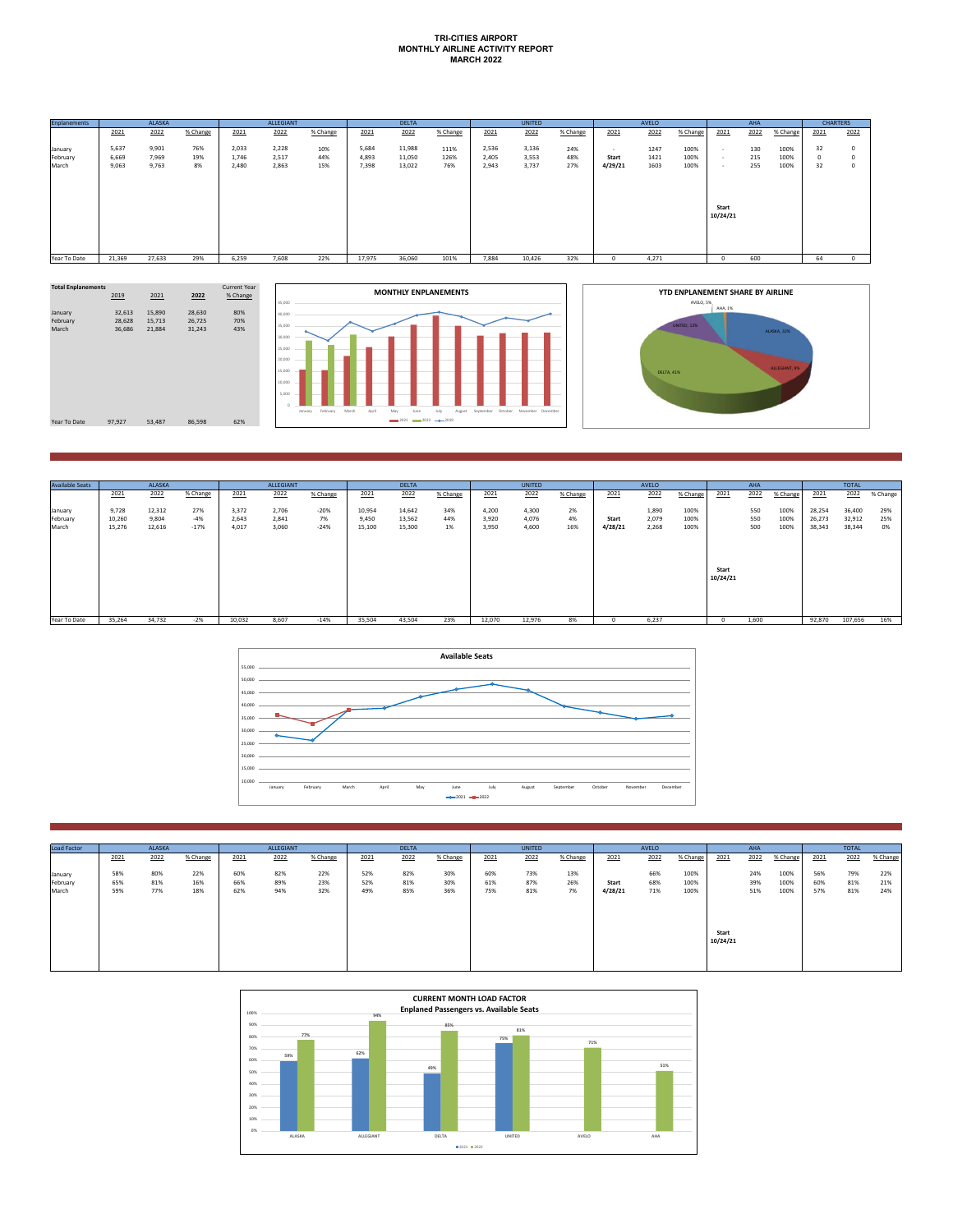## **TRI-CITIES AIRPORT MONTHLY AIRLINE ACTIVITY REPORT MARCH 2022**

| <b>Enplanements</b> |                | ALASKA         |           |                | ALLEGIANT      |            |                | <b>DELTA</b>     |             |                | <b>UNITED</b>  |            |                  | AVELO        |              |                   | <b>AHA</b> |              | <b>CHARTERS</b>  |                    |
|---------------------|----------------|----------------|-----------|----------------|----------------|------------|----------------|------------------|-------------|----------------|----------------|------------|------------------|--------------|--------------|-------------------|------------|--------------|------------------|--------------------|
|                     | 2021           | 2022           | % Change  | 2021           | 2022           | % Change   | 2021           | 2022             | % Change    | 2021           | 2022           | % Change   | 2021             | 2022         | % Change     | 2021              | 2022       | % Change     | 2021             | 2022               |
| January             | 5,637          | 9,901          | 76%       | 2,033          | 2,228          | 10%        | 5,684          | 11,988           | 111%        | 2,536          | 3,136          | 24%        | $\sim$           | 1247         | 100%         |                   | 130        | 100%         | 32               | $\circ$            |
| February<br>March   | 6,669<br>9,063 | 7,969<br>9,763 | 19%<br>8% | 1,746<br>2,480 | 2,517<br>2,863 | 44%<br>15% | 4,893<br>7,398 | 11,050<br>13,022 | 126%<br>76% | 2,405<br>2,943 | 3,553<br>3,737 | 48%<br>27% | Start<br>4/29/21 | 1421<br>1603 | 100%<br>100% | . .<br>. .        | 215<br>255 | 100%<br>100% | $^{\circ}$<br>32 | $\circ$<br>$\circ$ |
|                     |                |                |           |                |                |            |                |                  |             |                |                |            |                  |              |              | Start<br>10/24/21 |            |              |                  |                    |
| Year To Date        | 21,369         | 27,633         | 29%       | 6,259          | 7.608          | 22%        | 17,975         | 36,060           | 101%        | 7,884          | 10,426         | 32%        |                  | 4.271        |              | -0                | 600        |              | 64               | $^{\circ}$         |





| <b>Available Seats</b>       |                           | ALASKA                    |                        |                         | <b>ALLEGIANT</b>        |                        |                           | <b>DELTA</b>               |                  |                         | <b>UNITED</b>           |                 |                  | AVELO                   |                      |                   | AHA               |                      |                            | <b>TOTAL</b>               |                  |
|------------------------------|---------------------------|---------------------------|------------------------|-------------------------|-------------------------|------------------------|---------------------------|----------------------------|------------------|-------------------------|-------------------------|-----------------|------------------|-------------------------|----------------------|-------------------|-------------------|----------------------|----------------------------|----------------------------|------------------|
|                              | 2021                      | 2022                      | % Change               | 2021                    | 2022                    | % Change               | 2021                      | 2022                       | % Change         | 2021                    | 2022                    | % Change        | 2021             | 2022                    | % Change             | 2021              | 2022              | % Change             | 2021                       | 2022                       | % Change         |
| January<br>February<br>March | 9,728<br>10,260<br>15,276 | 12,312<br>9,804<br>12,616 | 27%<br>$-4%$<br>$-17%$ | 3,372<br>2.643<br>4,017 | 2,706<br>2,841<br>3,060 | $-20%$<br>7%<br>$-24%$ | 10,954<br>9,450<br>15,100 | 14,642<br>13,562<br>15,300 | 34%<br>44%<br>1% | 4,200<br>3,920<br>3,950 | 4,300<br>4,076<br>4,600 | 2%<br>4%<br>16% | Start<br>4/28/21 | 1,890<br>2,079<br>2,268 | 100%<br>100%<br>100% |                   | 550<br>550<br>500 | 100%<br>100%<br>100% | 28,254<br>26,273<br>38,343 | 36,400<br>32,912<br>38,344 | 29%<br>25%<br>0% |
|                              |                           |                           |                        |                         |                         |                        |                           |                            |                  |                         |                         |                 |                  |                         |                      |                   |                   |                      |                            |                            |                  |
|                              |                           |                           |                        |                         |                         |                        |                           |                            |                  |                         |                         |                 |                  |                         |                      | Start<br>10/24/21 |                   |                      |                            |                            |                  |
|                              |                           |                           |                        |                         |                         |                        |                           |                            |                  |                         |                         |                 |                  |                         |                      |                   |                   |                      |                            |                            |                  |
| Year To Date                 | 35,264                    | 34,732                    | $-2%$                  | 10,032                  | 8,607                   | $-14%$                 | 35,504                    | 43,504                     | 23%              | 12,070                  | 12,976                  | 8%              |                  | 6.237                   |                      |                   | 1,600             |                      | 92,870                     | 107,656                    | 16%              |



| <b>Load Factor</b> | <b>ALASKA</b> |      |          | ALLEGIANT |      |          | <b>DELTA</b> |      |          | <b>UNITED</b> |      |          | AVELO   |      |          | AHA               |      |          | <b>TOTAL</b> |      |          |
|--------------------|---------------|------|----------|-----------|------|----------|--------------|------|----------|---------------|------|----------|---------|------|----------|-------------------|------|----------|--------------|------|----------|
|                    | 2021          | 2022 | % Change | 2021      | 2022 | % Change | 2021         | 2022 | % Change | 2021          | 2022 | % Change | 2021    | 2022 | % Change | 2021              | 2022 | % Change | 2021         | 2022 | % Change |
| January            | 58%           | 80%  | 22%      | 60%       | 82%  | 22%      | 52%          | 82%  | 30%      | 60%           | 73%  | 13%      |         | 66%  | 100%     |                   | 24%  | 100%     | 56%          | 79%  | 22%      |
| February           | 65%           | 81%  | 16%      | 66%       | 89%  | 23%      | 52%          | 81%  | 30%      | 61%           | 87%  | 26%      | Start   | 68%  | 100%     |                   | 39%  | 100%     | 60%          | 81%  | 21%      |
| March              | 59%           | 77%  | 18%      | 62%       | 94%  | 32%      | 49%          | 85%  | 36%      | 75%           | 81%  | 7%       | 4/28/21 | 71%  | 100%     |                   | 51%  | 100%     | 57%          | 81%  | 24%      |
|                    |               |      |          |           |      |          |              |      |          |               |      |          |         |      |          |                   |      |          |              |      |          |
|                    |               |      |          |           |      |          |              |      |          |               |      |          |         |      |          |                   |      |          |              |      |          |
|                    |               |      |          |           |      |          |              |      |          |               |      |          |         |      |          | Start<br>10/24/21 |      |          |              |      |          |
|                    |               |      |          |           |      |          |              |      |          |               |      |          |         |      |          |                   |      |          |              |      |          |
|                    |               |      |          |           |      |          |              |      |          |               |      |          |         |      |          |                   |      |          |              |      |          |